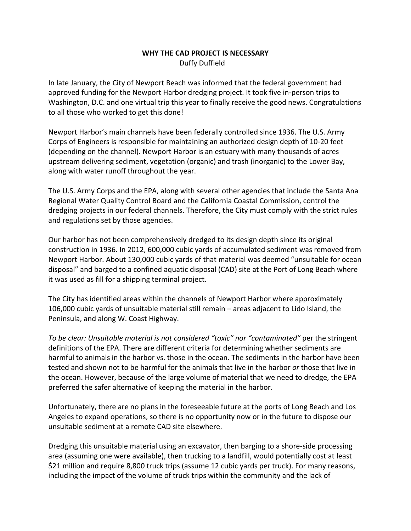## **WHY THE CAD PROJECT IS NECESSARY** Duffy Duffield

In late January, the City of Newport Beach was informed that the federal government had approved funding for the Newport Harbor dredging project. It took five in-person trips to Washington, D.C. and one virtual trip this year to finally receive the good news. Congratulations to all those who worked to get this done!

Newport Harbor's main channels have been federally controlled since 1936. The U.S. Army Corps of Engineers is responsible for maintaining an authorized design depth of 10-20 feet (depending on the channel). Newport Harbor is an estuary with many thousands of acres upstream delivering sediment, vegetation (organic) and trash (inorganic) to the Lower Bay, along with water runoff throughout the year.

The U.S. Army Corps and the EPA, along with several other agencies that include the Santa Ana Regional Water Quality Control Board and the California Coastal Commission, control the dredging projects in our federal channels. Therefore, the City must comply with the strict rules and regulations set by those agencies.

Our harbor has not been comprehensively dredged to its design depth since its original construction in 1936. In 2012, 600,000 cubic yards of accumulated sediment was removed from Newport Harbor. About 130,000 cubic yards of that material was deemed "unsuitable for ocean disposal" and barged to a confined aquatic disposal (CAD) site at the Port of Long Beach where it was used as fill for a shipping terminal project.

The City has identified areas within the channels of Newport Harbor where approximately 106,000 cubic yards of unsuitable material still remain – areas adjacent to Lido Island, the Peninsula, and along W. Coast Highway.

*To be clear: Unsuitable material is not considered "toxic" nor "contaminated"* per the stringent definitions of the EPA. There are different criteria for determining whether sediments are harmful to animals in the harbor vs. those in the ocean. The sediments in the harbor have been tested and shown not to be harmful for the animals that live in the harbor *or* those that live in the ocean. However, because of the large volume of material that we need to dredge, the EPA preferred the safer alternative of keeping the material in the harbor.

Unfortunately, there are no plans in the foreseeable future at the ports of Long Beach and Los Angeles to expand operations, so there is no opportunity now or in the future to dispose our unsuitable sediment at a remote CAD site elsewhere.

Dredging this unsuitable material using an excavator, then barging to a shore-side processing area (assuming one were available), then trucking to a landfill, would potentially cost at least \$21 million and require 8,800 truck trips (assume 12 cubic yards per truck). For many reasons, including the impact of the volume of truck trips within the community and the lack of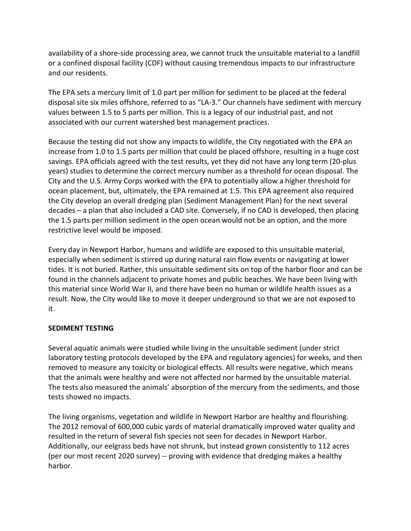availability of a shore-side processing area, we cannot truck the unsuitable material to a landfill or a confined disposal facility (CDF) without causing tremendous impacts to our infrastructure and our residents.

The EPA sets a mercury limit of 1.0 part per million for sediment to be placed at the federal disposal site six miles offshore, referred to as "LA-3." Our channels have sediment with mercury values between 1.5 to 5 parts per million. This is a legacy of our industrial past, and not associated with our current watershed best management practices.

Because the testing did not show any impacts to wildlife, the City negotiated with the EPA an increase from 1.0 to 1.5 parts per million that could be placed offshore, resulting in a huge cost savings. EPA officials agreed with the test results, yet they did not have any long term (20-plus years) studies to determine the correct mercury number as a threshold for ocean disposal. The City and the U.S. Army Corps worked with the EPA to potentially allow a higher threshold for ocean placement, but, ultimately, the EPA remained at 1.5. This EPA agreement also required the City develop an overall dredging plan (Sediment Management Plan) for the next several decades – a plan that also included a CAD site. Conversely, if no CAD is developed, then placing the 1.5 parts per million sediment in the open ocean would not be an option, and the more restrictive level would be imposed.

Every day in Newport Harbor, humans and wildlife are exposed to this unsuitable material, especially when sediment is stirred up during natural rain flow events or navigating at lower tides. It is not buried. Rather, this unsuitable sediment sits on top of the harbor floor and can be found in the channels adjacent to private homes and public beaches. We have been living with this material since World War II, and there have been no human or wildlife health issues as a result. Now, the City would like to move it deeper underground so that we are not exposed to it.

## **SEDIMENT TESTING**

Several aquatic animals were studied while living in the unsuitable sediment (under strict laboratory testing protocols developed by the EPA and regulatory agencies) for weeks, and then removed to measure any toxicity or biological effects. All results were negative, which means that the animals were healthy and were not affected nor harmed by the unsuitable material. The tests also measured the animals' absorption of the mercury from the sediments, and those tests showed no impacts.

The living organisms, vegetation and wildlife in Newport Harbor are healthy and flourishing. The 2012 removal of 600,000 cubic yards of material dramatically improved water quality and resulted in the return of several fish species not seen for decades in Newport Harbor. Additionally, our eelgrass beds have not shrunk, but instead grown consistently to 112 acres (per our most recent 2020 survey) -- proving with evidence that dredging makes a healthy harbor.